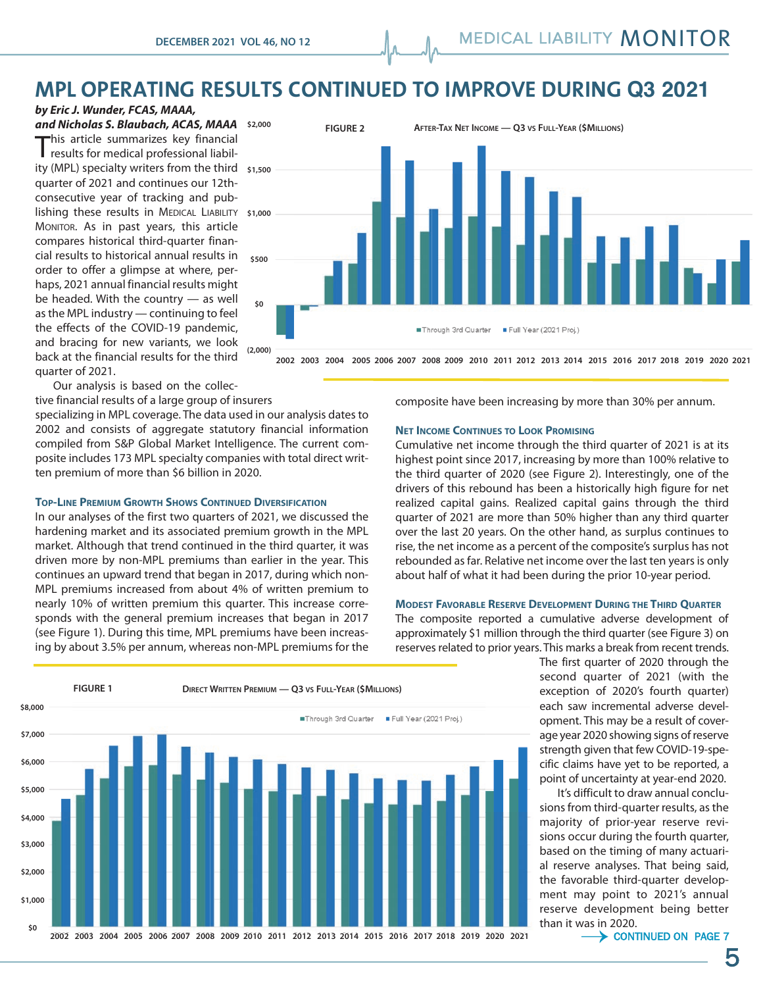# **MPL OPERATING RESULTS CONTINUED TO IMPROVE DURING Q3 2021**

*by Eric J. Wunder, FCAS, MAAA,* 

*and Nicholas S. Blaubach, ACAS, MAAA* **\$2,000** This article summarizes key financial results for medical professional liability (MPL) specialty writers from the third **\$1,500** quarter of 2021 and continues our 12thconsecutive year of tracking and publishing these results in MEDICAL LIABILITY **\$1,000** MONITOR. As in past years, this article compares historical third-quarter financial results to historical annual results in order to offer a glimpse at where, perhaps, 2021 annual financial results might be headed. With the country — as well as the MPL industry — continuing to feel the effects of the COVID-19 pandemic, and bracing for new variants, we look back at the financial results for the third quarter of 2021.



**2002 2003 2004 2005 2006 2007 2008 2009 2010 2011 2012 2013 2014 2015 2016 2017 2018 2019 2020 2021** "#\$%&'!(! !('&%\$"#

Our analysis is based on the collective financial results of a large group of insurers

specializing in MPL coverage. The data used in our analysis dates to 2002 and consists of aggregate statutory financial information compiled from S&P Global Market Intelligence. The current composite includes 173 MPL specialty companies with total direct written premium of more than \$6 billion in 2020.

### **TOP-LINE PREMIUM GROWTH SHOWS CONTINUED DIVERSIFICATION**

In our analyses of the first two quarters of 2021, we discussed the hardening market and its associated premium growth in the MPL market. Although that trend continued in the third quarter, it was driven more by non-MPL premiums than earlier in the year. This continues an upward trend that began in 2017, during which non-MPL premiums increased from about 4% of written premium to nearly 10% of written premium this quarter. This increase corresponds with the general premium increases that began in 2017 (see Figure 1). During this time, MPL premiums have been increasing by about 3.5% per annum, whereas non-MPL premiums for the composite have been increasing by more than 30% per annum.

### **NET INCOME CONTINUES TO LOOK PROMISING**

Cumulative net income through the third quarter of 2021 is at its highest point since 2017, increasing by more than 100% relative to the third quarter of 2020 (see Figure 2). Interestingly, one of the drivers of this rebound has been a historically high figure for net realized capital gains. Realized capital gains through the third quarter of 2021 are more than 50% higher than any third quarter over the last 20 years. On the other hand, as surplus continues to rise, the net income as a percent of the composite's surplus has not rebounded as far. Relative net income over the last ten years is only about half of what it had been during the prior 10-year period.

### **MODEST FAVORABLE RESERVE DEVELOPMENT DURING THE THIRD QUARTER**

The composite reported a cumulative adverse development of approximately \$1 million through the third quarter (see Figure 3) on reserves related to prior years. This marks a break from recent trends.

> The first quarter of 2020 through the second quarter of 2021 (with the exception of 2020's fourth quarter) each saw incremental adverse development. This may be a result of coverage year 2020 showing signs of reserve strength given that few COVID-19-specific claims have yet to be reported, a point of uncertainty at year-end 2020.

> It's difficult to draw annual conclusions from third-quarter results, as the majority of prior-year reserve revisions occur during the fourth quarter, based on the timing of many actuarial reserve analyses. That being said, the favorable third-quarter development may point to 2021's annual reserve development being better than it was in 2020.

 $\rightarrow$  CONTINUED ON PAGE 7